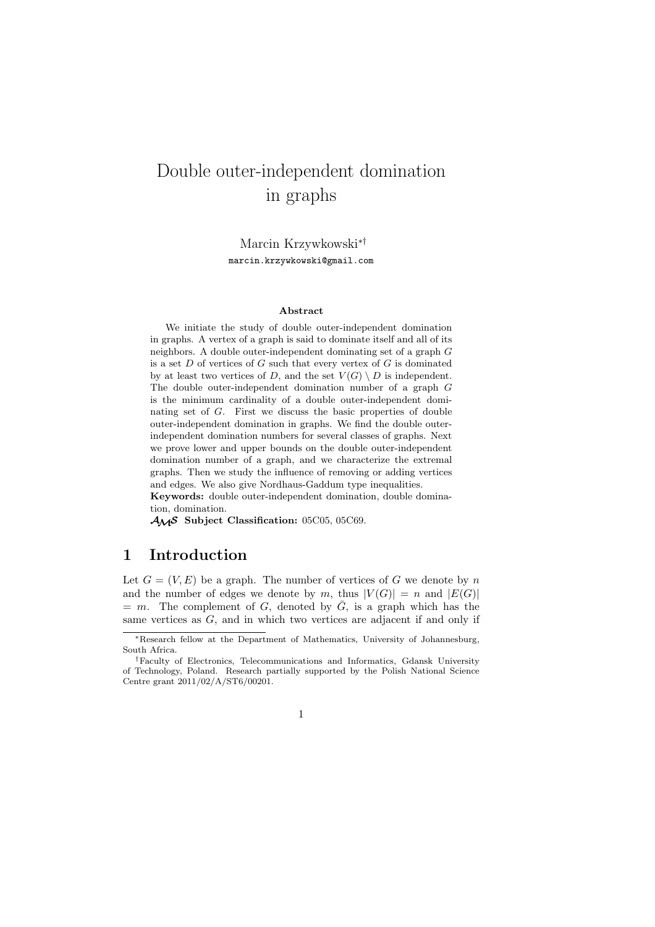# Double outer-independent domination in graphs

Marcin Krzywkowski∗† marcin.krzywkowski@gmail.com

#### **Abstract**

We initiate the study of double outer-independent domination in graphs. A vertex of a graph is said to dominate itself and all of its neighbors. A double outer-independent dominating set of a graph G is a set  $D$  of vertices of  $G$  such that every vertex of  $G$  is dominated by at least two vertices of D, and the set  $V(G) \setminus D$  is independent. The double outer-independent domination number of a graph G is the minimum cardinality of a double outer-independent dominating set of G. First we discuss the basic properties of double outer-independent domination in graphs. We find the double outerindependent domination numbers for several classes of graphs. Next we prove lower and upper bounds on the double outer-independent domination number of a graph, and we characterize the extremal graphs. Then we study the influence of removing or adding vertices and edges. We also give Nordhaus-Gaddum type inequalities.

**Keywords:** double outer-independent domination, double domination, domination.

AMS **Subject Classification:** 05C05, 05C69.

### **1 Introduction**

Let  $G = (V, E)$  be a graph. The number of vertices of G we denote by n and the number of edges we denote by m, thus  $|V(G)| = n$  and  $|E(G)|$  $= m$ . The complement of G, denoted by  $\overline{G}$ , is a graph which has the same vertices as  $G$ , and in which two vertices are adjacent if and only if

<sup>∗</sup>Research fellow at the Department of Mathematics, University of Johannesburg, South Africa.

<sup>†</sup>Faculty of Electronics, Telecommunications and Informatics, Gdansk University of Technology, Poland. Research partially supported by the Polish National Science Centre grant 2011/02/A/ST6/00201.

<sup>1</sup>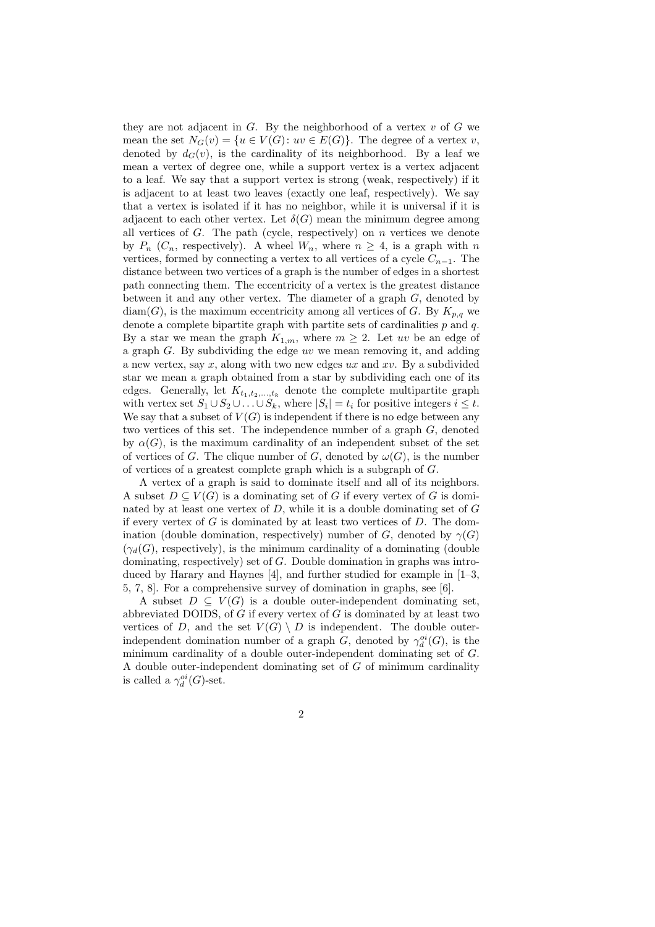they are not adjacent in  $G$ . By the neighborhood of a vertex  $v$  of  $G$  we mean the set  $N_G(v) = \{u \in V(G): uv \in E(G)\}\)$ . The degree of a vertex v, denoted by  $d_G(v)$ , is the cardinality of its neighborhood. By a leaf we mean a vertex of degree one, while a support vertex is a vertex adjacent to a leaf. We say that a support vertex is strong (weak, respectively) if it is adjacent to at least two leaves (exactly one leaf, respectively). We say that a vertex is isolated if it has no neighbor, while it is universal if it is adjacent to each other vertex. Let  $\delta(G)$  mean the minimum degree among all vertices of  $G$ . The path (cycle, respectively) on  $n$  vertices we denote by  $P_n$  ( $C_n$ , respectively). A wheel  $W_n$ , where  $n \geq 4$ , is a graph with n vertices, formed by connecting a vertex to all vertices of a cycle  $C_{n-1}$ . The distance between two vertices of a graph is the number of edges in a shortest path connecting them. The eccentricity of a vertex is the greatest distance between it and any other vertex. The diameter of a graph  $G$ , denoted by  $diam(G)$ , is the maximum eccentricity among all vertices of G. By  $K_{p,q}$  we denote a complete bipartite graph with partite sets of cardinalities  $p$  and  $q$ . By a star we mean the graph  $K_{1,m}$ , where  $m \geq 2$ . Let uv be an edge of a graph  $G$ . By subdividing the edge uv we mean removing it, and adding a new vertex, say x, along with two new edges  $ux$  and  $xv$ . By a subdivided star we mean a graph obtained from a star by subdividing each one of its edges. Generally, let  $K_{t_1,t_2,...,t_k}$  denote the complete multipartite graph with vertex set  $S_1 \cup S_2 \cup \ldots \cup S_k$ , where  $|S_i| = t_i$  for positive integers  $i \leq t$ . We say that a subset of  $V(G)$  is independent if there is no edge between any two vertices of this set. The independence number of a graph G, denoted by  $\alpha(G)$ , is the maximum cardinality of an independent subset of the set of vertices of G. The clique number of G, denoted by  $\omega(G)$ , is the number of vertices of a greatest complete graph which is a subgraph of G.

A vertex of a graph is said to dominate itself and all of its neighbors. A subset  $D \subseteq V(G)$  is a dominating set of G if every vertex of G is dominated by at least one vertex of  $D$ , while it is a double dominating set of  $G$ if every vertex of  $G$  is dominated by at least two vertices of  $D$ . The domination (double domination, respectively) number of G, denoted by  $\gamma(G)$  $(\gamma_d(G))$ , respectively), is the minimum cardinality of a dominating (double dominating, respectively) set of G. Double domination in graphs was introduced by Harary and Haynes [4], and further studied for example in [1–3, 5, 7, 8]. For a comprehensive survey of domination in graphs, see [6].

A subset  $D \subseteq V(G)$  is a double outer-independent dominating set, abbreviated DOIDS, of  $G$  if every vertex of  $G$  is dominated by at least two vertices of D, and the set  $V(G) \setminus D$  is independent. The double outerindependent domination number of a graph  $G$ , denoted by  $\gamma_d^{oi}(G)$ , is the minimum cardinality of a double outer-independent dominating set of G. A double outer-independent dominating set of G of minimum cardinality is called a  $\gamma_d^{oi}(G)$ -set.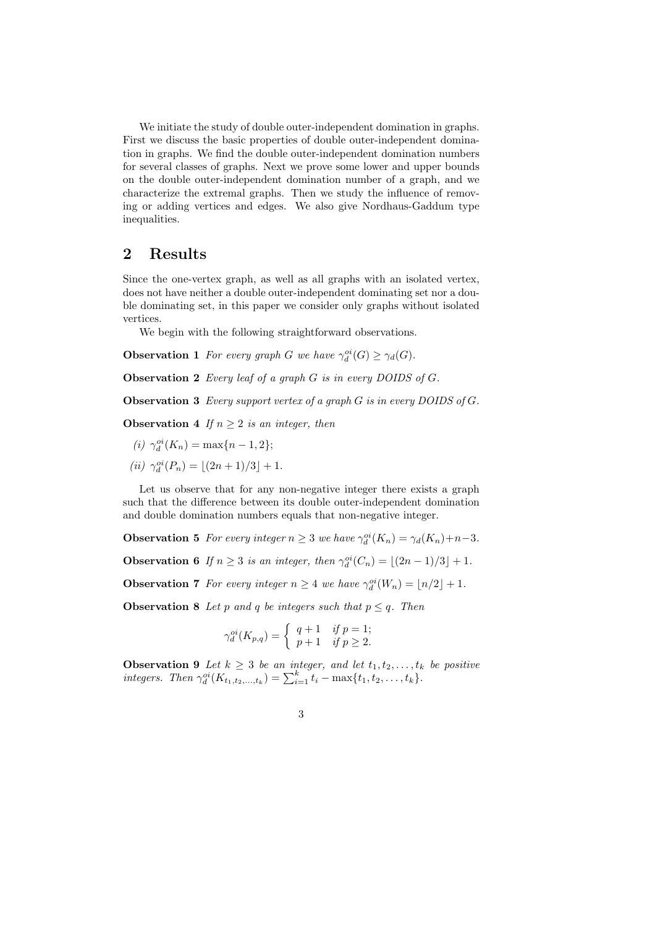We initiate the study of double outer-independent domination in graphs. First we discuss the basic properties of double outer-independent domination in graphs. We find the double outer-independent domination numbers for several classes of graphs. Next we prove some lower and upper bounds on the double outer-independent domination number of a graph, and we characterize the extremal graphs. Then we study the influence of removing or adding vertices and edges. We also give Nordhaus-Gaddum type inequalities.

## **2 Results**

Since the one-vertex graph, as well as all graphs with an isolated vertex, does not have neither a double outer-independent dominating set nor a double dominating set, in this paper we consider only graphs without isolated vertices.

We begin with the following straightforward observations.

**Observation 1** *For every graph G we have*  $\gamma_d^{oi}(G) \geq \gamma_d(G)$ *.* 

**Observation 2** *Every leaf of a graph* G *is in every DOIDS of* G*.*

**Observation 3** *Every support vertex of a graph* G *is in every DOIDS of* G*.*

**Observation 4** *If*  $n \geq 2$  *is an integer, then* 

- $(i)$   $\gamma_d^{oi}(K_n) = \max\{n-1, 2\};$
- $(iii)$   $\gamma_d^{oi}(P_n) = \lfloor (2n+1)/3 \rfloor + 1.$

Let us observe that for any non-negative integer there exists a graph such that the difference between its double outer-independent domination and double domination numbers equals that non-negative integer.

**Observation 5** *For every integer*  $n \geq 3$  *we have*  $\gamma_d^{oi}(K_n) = \gamma_d(K_n) + n - 3$ *.* 

**Observation 6** *If*  $n \geq 3$  *is an integer, then*  $\gamma_d^{oi}(C_n) = \lfloor (2n-1)/3 \rfloor + 1$ *.* 

**Observation 7** *For every integer*  $n \geq 4$  *we have*  $\gamma_d^{oi}(W_n) = \lfloor n/2 \rfloor + 1$ *.* 

**Observation 8** *Let* p and q be integers such that  $p \leq q$ . Then

$$
\gamma_d^{oi}(K_{p,q}) = \begin{cases} q+1 & \text{if } p=1; \\ p+1 & \text{if } p \ge 2. \end{cases}
$$

**Observation 9** Let  $k \geq 3$  be an integer, and let  $t_1, t_2, \ldots, t_k$  be positive *integers.* Then  $\gamma_d^{oi}(K_{t_1,t_2,...,t_k}) = \sum_{i=1}^k t_i - \max\{t_1,t_2,...,t_k\}.$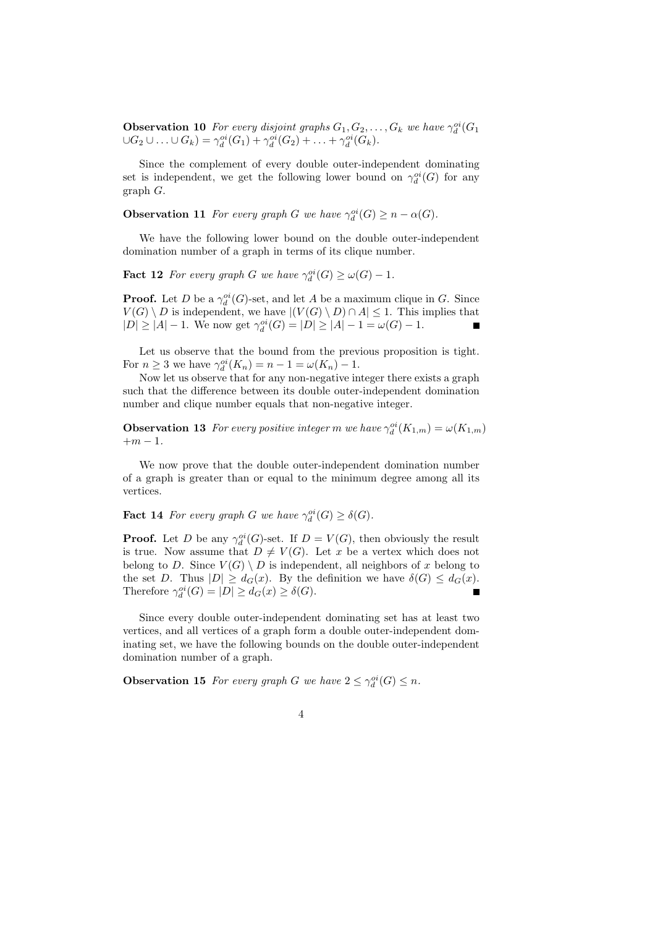**Observation 10** For every disjoint graphs  $G_1, G_2, \ldots, G_k$  we have  $\gamma_d^{oi}(G_1)$  $\cup G_2 \cup ... \cup G_k) = \gamma_d^{oi}(G_1) + \gamma_d^{oi}(G_2) + ... + \gamma_d^{oi}(G_k).$ 

Since the complement of every double outer-independent dominating set is independent, we get the following lower bound on  $\gamma_d^{oi}(G)$  for any graph G.

**Observation 11** *For every graph G we have*  $\gamma_d^{oi}(G) \geq n - \alpha(G)$ *.* 

We have the following lower bound on the double outer-independent domination number of a graph in terms of its clique number.

**Fact 12** *For every graph G we have*  $\gamma_d^{oi}(G) \ge \omega(G) - 1$ *.* 

**Proof.** Let D be a  $\gamma_d^{oi}(G)$ -set, and let A be a maximum clique in G. Since  $V(G) \setminus D$  is independent, we have  $| (V(G) \setminus D) \cap A | \leq 1$ . This implies that  $|D| \ge |A| - 1$ . We now get  $\gamma_d^{oi}(G) = |D| \ge |A| - 1 = \omega(G) - 1$ .

Let us observe that the bound from the previous proposition is tight. For  $n \geq 3$  we have  $\gamma_d^{oi}(K_n) = n - 1 = \omega(K_n) - 1$ .

Now let us observe that for any non-negative integer there exists a graph such that the difference between its double outer-independent domination number and clique number equals that non-negative integer.

**Observation 13** *For every positive integer m we have*  $\gamma_d^{oi}(K_{1,m}) = \omega(K_{1,m})$  $+m-1$ .

We now prove that the double outer-independent domination number of a graph is greater than or equal to the minimum degree among all its vertices.

**Fact 14** *For every graph G we have*  $\gamma_d^{oi}(G) \geq \delta(G)$ *.* 

**Proof.** Let D be any  $\gamma_d^{oi}(G)$ -set. If  $D = V(G)$ , then obviously the result is true. Now assume that  $D \neq V(G)$ . Let x be a vertex which does not belong to D. Since  $V(G) \setminus D$  is independent, all neighbors of x belong to the set D. Thus  $|D| \geq d_G(x)$ . By the definition we have  $\delta(G) \leq d_G(x)$ . Therefore  $\gamma_d^{oi}(G) = |D| \geq d_G(x) \geq \delta(G)$ .  $\blacksquare$ 

Since every double outer-independent dominating set has at least two vertices, and all vertices of a graph form a double outer-independent dominating set, we have the following bounds on the double outer-independent domination number of a graph.

**Observation 15** *For every graph G we have*  $2 \leq \gamma_d^{oi}(G) \leq n$ *.*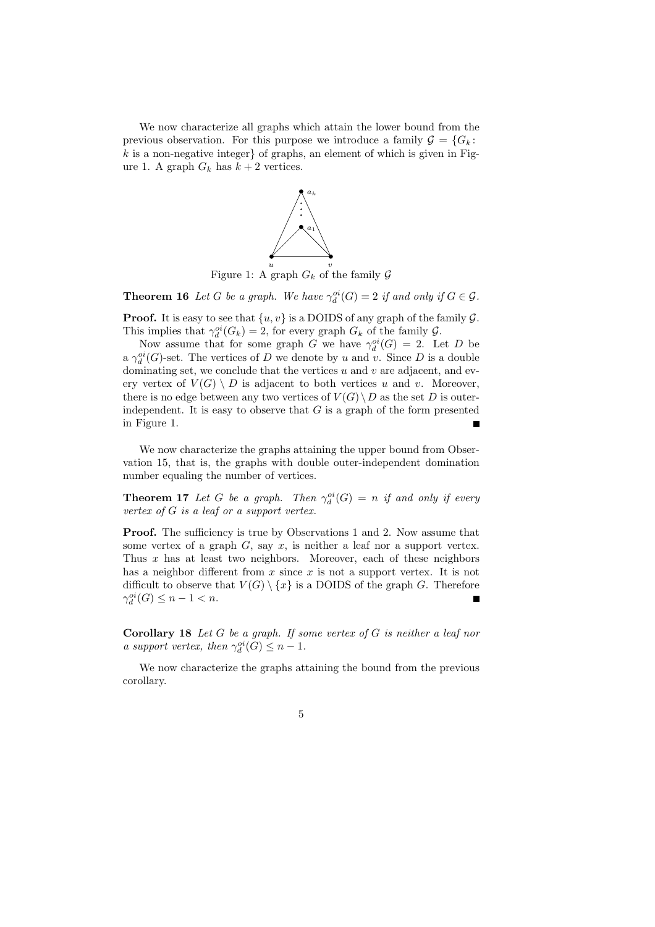We now characterize all graphs which attain the lower bound from the previous observation. For this purpose we introduce a family  $\mathcal{G} = \{G_k\}$ :  $k$  is a non-negative integer of graphs, an element of which is given in Figure 1. A graph  $G_k$  has  $k+2$  vertices.



**Theorem 16** *Let* G *be a graph.* We have  $\gamma_d^{oi}(G) = 2$  *if and only if*  $G \in \mathcal{G}$ *.* 

**Proof.** It is easy to see that  $\{u, v\}$  is a DOIDS of any graph of the family  $\mathcal{G}$ . This implies that  $\gamma_d^{oi}(G_k) = 2$ , for every graph  $G_k$  of the family  $\mathcal{G}$ .

Now assume that for some graph G we have  $\gamma_d^{oi}(G) = 2$ . Let D be a  $\gamma_d^{oi}(G)$ -set. The vertices of D we denote by u and v. Since D is a double dominating set, we conclude that the vertices  $u$  and  $v$  are adjacent, and every vertex of  $V(G) \setminus D$  is adjacent to both vertices u and v. Moreover, there is no edge between any two vertices of  $V(G) \setminus D$  as the set D is outerindependent. It is easy to observe that  $G$  is a graph of the form presented in Figure 1.

We now characterize the graphs attaining the upper bound from Observation 15, that is, the graphs with double outer-independent domination number equaling the number of vertices.

**Theorem 17** *Let* G *be a graph.* Then  $\gamma_d^{oi}(G) = n$  *if and only if every vertex of* G *is a leaf or a support vertex.*

**Proof.** The sufficiency is true by Observations 1 and 2. Now assume that some vertex of a graph  $G$ , say  $x$ , is neither a leaf nor a support vertex. Thus  $x$  has at least two neighbors. Moreover, each of these neighbors has a neighbor different from  $x$  since  $x$  is not a support vertex. It is not difficult to observe that  $V(G) \setminus \{x\}$  is a DOIDS of the graph G. Therefore  $\gamma_d^{oi}(G) \leq n-1 < n.$ 

**Corollary 18** *Let* G *be a graph. If some vertex of* G *is neither a leaf nor a support vertex, then*  $\gamma_d^{oi}(G) \leq n - 1$ .

We now characterize the graphs attaining the bound from the previous corollary.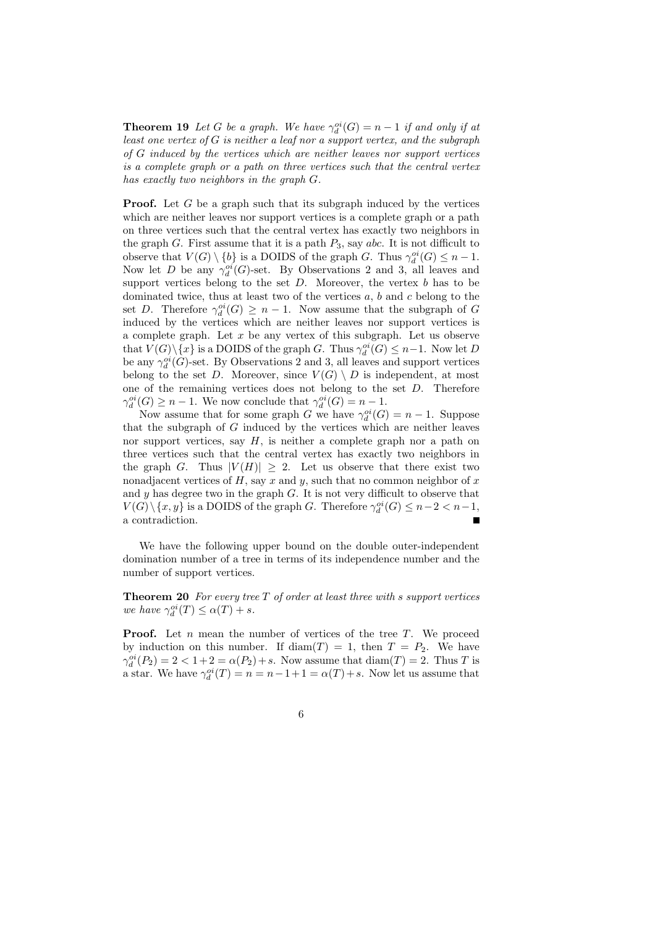**Theorem 19** *Let* G *be a graph.* We have  $\gamma_d^{oi}(G) = n - 1$  *if and only if at least one vertex of* G *is neither a leaf nor a support vertex, and the subgraph of* G *induced by the vertices which are neither leaves nor support vertices is a complete graph or a path on three vertices such that the central vertex has exactly two neighbors in the graph* G*.*

**Proof.** Let G be a graph such that its subgraph induced by the vertices which are neither leaves nor support vertices is a complete graph or a path on three vertices such that the central vertex has exactly two neighbors in the graph G. First assume that it is a path  $P_3$ , say abc. It is not difficult to observe that  $V(G) \setminus \{b\}$  is a DOIDS of the graph G. Thus  $\gamma_d^{oi}(G) \leq n-1$ . Now let D be any  $\gamma_d^{oi}(G)$ -set. By Observations 2 and 3, all leaves and support vertices belong to the set  $D$ . Moreover, the vertex  $b$  has to be dominated twice, thus at least two of the vertices  $a, b$  and  $c$  belong to the set D. Therefore  $\gamma_d^{oi}(G) \geq n-1$ . Now assume that the subgraph of G induced by the vertices which are neither leaves nor support vertices is a complete graph. Let  $x$  be any vertex of this subgraph. Let us observe that  $V(G) \setminus \{x\}$  is a DOIDS of the graph G. Thus  $\gamma_d^{oi}(G) \leq n-1$ . Now let D be any  $\gamma_d^{oi}(G)$ -set. By Observations 2 and 3, all leaves and support vertices belong to the set D. Moreover, since  $V(G) \setminus D$  is independent, at most one of the remaining vertices does not belong to the set  $D$ . Therefore  $\gamma_d^{oi}(G) \geq n-1$ . We now conclude that  $\gamma_d^{oi}(G) = n-1$ .

Now assume that for some graph G we have  $\gamma_d^{oi}(G) = n - 1$ . Suppose that the subgraph of  $G$  induced by the vertices which are neither leaves nor support vertices, say  $H$ , is neither a complete graph nor a path on three vertices such that the central vertex has exactly two neighbors in the graph G. Thus  $|V(H)| \geq 2$ . Let us observe that there exist two nonadjacent vertices of H, say x and y, such that no common neighbor of x and  $y$  has degree two in the graph  $G$ . It is not very difficult to observe that  $V(G) \setminus \{x, y\}$  is a DOIDS of the graph G. Therefore  $\gamma_d^{oi}(G) \leq n-2 < n-1$ , a contradiction.

We have the following upper bound on the double outer-independent domination number of a tree in terms of its independence number and the number of support vertices.

**Theorem 20** *For every tree* T *of order at least three with* s *support vertices we have*  $\gamma_d^{oi}(T) \leq \alpha(T) + s$ *.* 

**Proof.** Let  $n$  mean the number of vertices of the tree  $T$ . We proceed by induction on this number. If diam(T) = 1, then  $T = P_2$ . We have  $\gamma_d^{oi}(P_2) = 2 < 1+2 = \alpha(P_2) + s$ . Now assume that  $\text{diam}(T) = 2$ . Thus T is a star. We have  $\gamma_d^{oi}(T) = n = n - 1 + 1 = \alpha(T) + s$ . Now let us assume that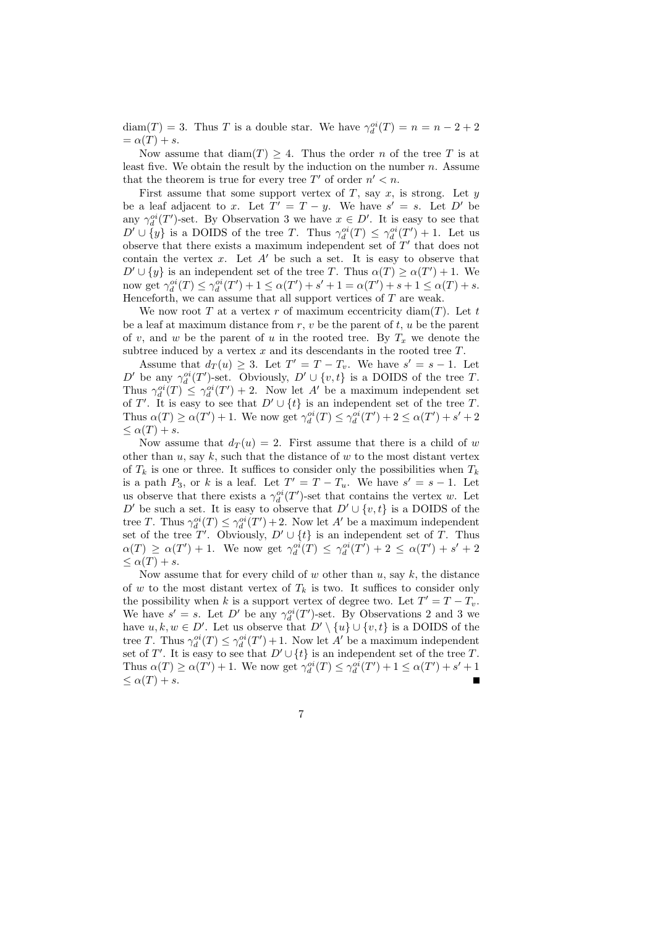$diam(T) = 3$ . Thus T is a double star. We have  $\gamma_d^{oi}(T) = n = n - 2 + 2$  $=\alpha(T) + s.$ 

Now assume that  $\text{diam}(T) > 4$ . Thus the order *n* of the tree *T* is at least five. We obtain the result by the induction on the number  $n$ . Assume that the theorem is true for every tree T' of order  $n' < n$ .

First assume that some support vertex of  $T$ , say  $x$ , is strong. Let  $y$ be a leaf adjacent to x. Let  $T' = T - y$ . We have  $s' = s$ . Let D' be any  $\gamma_d^{oi}(T')$ -set. By Observation 3 we have  $x \in D'$ . It is easy to see that  $D' \cup \{y\}$  is a DOIDS of the tree T. Thus  $\gamma_d^{oi}(T) \leq \gamma_d^{oi}(T') + 1$ . Let us observe that there exists a maximum independent set of  $T'$  that does not contain the vertex  $x$ . Let  $A'$  be such a set. It is easy to observe that  $D' \cup \{y\}$  is an independent set of the tree T. Thus  $\alpha(T) \geq \alpha(T') + 1$ . We now get  $\gamma_d^{oi}(T) \leq \gamma_d^{oi}(T') + 1 \leq \alpha(T') + s' + 1 = \alpha(T') + s + 1 \leq \alpha(T) + s$ . Henceforth, we can assume that all support vertices of  $T$  are weak.

We now root T at a vertex r of maximum eccentricity diam(T). Let t be a leaf at maximum distance from  $r, v$  be the parent of  $t, u$  be the parent of v, and w be the parent of u in the rooted tree. By  $T_x$  we denote the subtree induced by a vertex  $x$  and its descendants in the rooted tree  $T$ .

Assume that  $d_T(u) \geq 3$ . Let  $T' = T - T_v$ . We have  $s' = s - 1$ . Let D' be any  $\gamma_d^{oi}(T')$ -set. Obviously,  $D' \cup \{v, t\}$  is a DOIDS of the tree T. Thus  $\gamma_d^{oi}(T) \leq \gamma_d^{oi}(T') + 2$ . Now let A' be a maximum independent set of T'. It is easy to see that  $D' \cup \{t\}$  is an independent set of the tree T. Thus  $\alpha(T) \ge \alpha(T') + 1$ . We now get  $\gamma_d^{oi}(T) \le \gamma_d^{oi}(T') + 2 \le \alpha(T') + s' + 2$  $\leq \alpha(T) + s.$ 

Now assume that  $d_T(u) = 2$ . First assume that there is a child of w other than u, say k, such that the distance of w to the most distant vertex of  $T_k$  is one or three. It suffices to consider only the possibilities when  $T_k$ is a path  $P_3$ , or k is a leaf. Let  $T' = T - T_u$ . We have  $s' = s - 1$ . Let us observe that there exists a  $\gamma_d^{oi}(T')$ -set that contains the vertex w. Let D' be such a set. It is easy to observe that  $D' \cup \{v, t\}$  is a DOIDS of the tree T. Thus  $\gamma_d^{oi}(T) \leq \gamma_d^{oi}(T') + 2$ . Now let A' be a maximum independent set of the tree T'. Obviously,  $D' \cup \{t\}$  is an independent set of T. Thus  $\alpha(T) \geq \alpha(T') + 1$ . We now get  $\gamma_d^{oi}(T) \leq \gamma_d^{oi}(T') + 2 \leq \alpha(T') + s' + 2$  $\alpha(T) + s.$ 

Now assume that for every child of  $w$  other than  $u$ , say  $k$ , the distance of w to the most distant vertex of  $T_k$  is two. It suffices to consider only the possibility when k is a support vertex of degree two. Let  $T' = T - T_v$ . We have  $s' = s$ . Let D' be any  $\gamma_d^{oi}(T')$ -set. By Observations 2 and 3 we have  $u, k, w \in D'$ . Let us observe that  $D' \setminus \{u\} \cup \{v, t\}$  is a DOIDS of the tree T. Thus  $\gamma_d^{oi}(T) \leq \gamma_d^{oi}(T') + 1$ . Now let A' be a maximum independent set of T'. It is easy to see that  $D' \cup \{t\}$  is an independent set of the tree T. Thus  $\alpha(T) \geq \alpha(T') + 1$ . We now get  $\gamma_d^{oi}(T) \leq \gamma_d^{oi}(T') + 1 \leq \alpha(T') + s' + 1$  $\leq \alpha(T) + s.$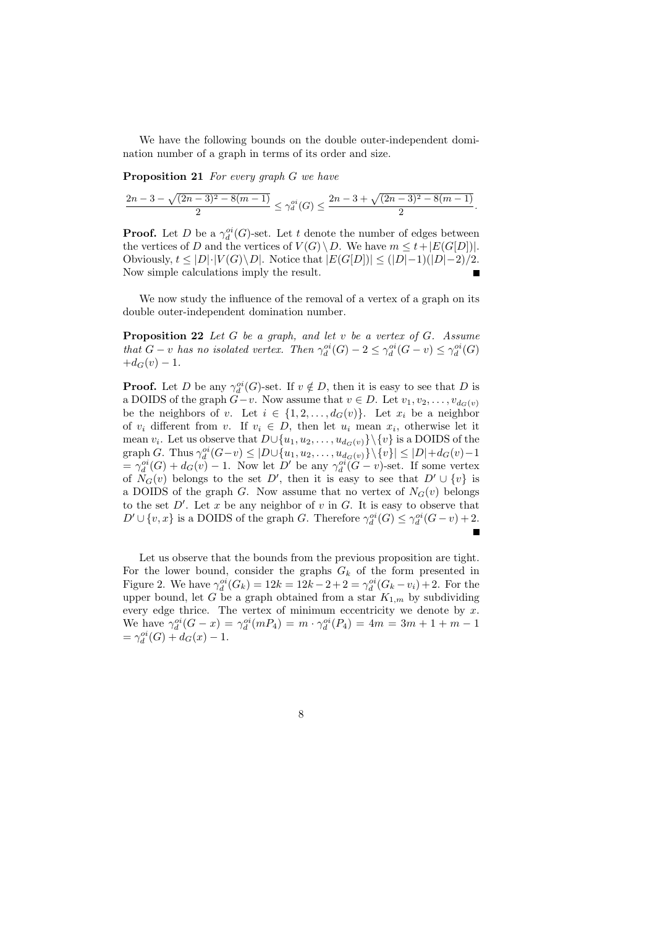We have the following bounds on the double outer-independent domination number of a graph in terms of its order and size.

**Proposition 21** *For every graph* G *we have*

$$
\frac{2n-3-\sqrt{(2n-3)^2-8(m-1)}}{2} \leq \gamma_d^{oi}(G) \leq \frac{2n-3+\sqrt{(2n-3)^2-8(m-1)}}{2}
$$

*.*

**Proof.** Let D be a  $\gamma_d^{oi}(G)$ -set. Let t denote the number of edges between the vertices of D and the vertices of  $V(G) \setminus D$ . We have  $m \leq t + |E(G[D])|$ . Obviously,  $t \leq |D| \cdot |V(G) \setminus D|$ . Notice that  $|E(G[D])| \leq (|D|-1)(|D|-2)/2$ . Now simple calculations imply the result.

We now study the influence of the removal of a vertex of a graph on its double outer-independent domination number.

**Proposition 22** *Let* G *be a graph, and let* v *be a vertex of* G*. Assume that*  $G - v$  *has no isolated vertex. Then*  $\gamma_d^{oi}(G) - 2 \leq \gamma_d^{oi}(G - v) \leq \gamma_d^{oi}(G)$  $+d_G(v) - 1.$ 

**Proof.** Let D be any  $\gamma_d^{oi}(G)$ -set. If  $v \notin D$ , then it is easy to see that D is a DOIDS of the graph  $G-v$ . Now assume that  $v \in D$ . Let  $v_1, v_2, \ldots, v_{d_G(v)}$ be the neighbors of v. Let  $i \in \{1, 2, ..., d_G(v)\}$ . Let  $x_i$  be a neighbor of  $v_i$  different from  $v$ . If  $v_i \in D$ , then let  $u_i$  mean  $x_i$ , otherwise let it mean  $v_i$ . Let us observe that  $D \cup \{u_1, u_2, \ldots, u_{d_G(v)}\} \setminus \{v\}$  is a DOIDS of the graph G. Thus  $\gamma_d^{oi}(G-v) \leq |D \cup \{u_1, u_2, \ldots, u_{d_G(v)}\} \setminus \{v\}| \leq |D| + d_G(v) - 1$  $=\gamma_d^{oi}(G)+d_G(v)-1$ . Now let D' be any  $\gamma_d^{oi}(G-v)$ -set. If some vertex of  $N_G(v)$  belongs to the set D', then it is easy to see that  $D' \cup \{v\}$  is a DOIDS of the graph G. Now assume that no vertex of  $N_G(v)$  belongs to the set  $D'$ . Let x be any neighbor of v in G. It is easy to observe that  $D' \cup \{v, x\}$  is a DOIDS of the graph G. Therefore  $\gamma_d^{oi}(G) \leq \gamma_d^{oi}(G - v) + 2$ .

Let us observe that the bounds from the previous proposition are tight. For the lower bound, consider the graphs  $G_k$  of the form presented in Figure 2. We have  $\gamma_d^{oi}(G_k) = 12k - 2 + 2 = \gamma_d^{oi}(G_k - v_i) + 2$ . For the upper bound, let G be a graph obtained from a star  $K_{1,m}$  by subdividing every edge thrice. The vertex of minimum eccentricity we denote by  $x$ . We have  $\gamma_d^{oi}(G - x) = \gamma_d^{oi}(m_4) = m \cdot \gamma_d^{oi}(P_4) = 4m = 3m + 1 + m - 1$  $= \gamma_d^{oi}(G) + d_G(x) - 1.$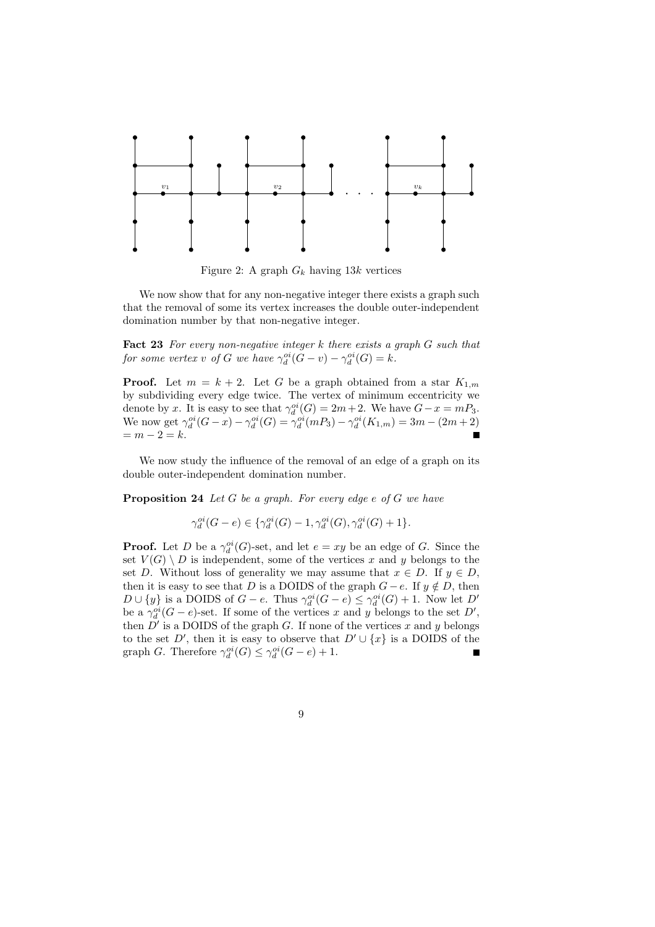

Figure 2: A graph  $G_k$  having 13k vertices

We now show that for any non-negative integer there exists a graph such that the removal of some its vertex increases the double outer-independent domination number by that non-negative integer.

**Fact 23** *For every non-negative integer* k *there exists a graph* G *such that for some vertex v of G we have*  $\gamma_d^{oi}(G - v) - \gamma_d^{oi}(G) = k$ *.* 

**Proof.** Let  $m = k + 2$ . Let G be a graph obtained from a star  $K_{1,m}$ by subdividing every edge twice. The vertex of minimum eccentricity we denote by x. It is easy to see that  $\gamma_d^{oi}(G) = 2m + 2$ . We have  $G - x = mP_3$ . We now get  $\gamma_d^{oi}(G - x) - \gamma_d^{oi}(G) = \gamma_d^{oi}(m_3) - \gamma_d^{oi}(K_{1,m}) = 3m - (2m + 2)$  $= m - 2 = k.$ 

We now study the influence of the removal of an edge of a graph on its double outer-independent domination number.

**Proposition 24** *Let* G *be a graph. For every edge* e *of* G *we have*

$$
\gamma_d^{oi}(G-e) \in \{ \gamma_d^{oi}(G) - 1, \gamma_d^{oi}(G), \gamma_d^{oi}(G) + 1 \}.
$$

**Proof.** Let D be a  $\gamma_d^{oi}(G)$ -set, and let  $e = xy$  be an edge of G. Since the set  $V(G) \setminus D$  is independent, some of the vertices x and y belongs to the set D. Without loss of generality we may assume that  $x \in D$ . If  $y \in D$ , then it is easy to see that D is a DOIDS of the graph  $G - e$ . If  $y \notin D$ , then  $D \cup \{y\}$  is a DOIDS of  $G - e$ . Thus  $\gamma_d^{oi}(G - e) \leq \gamma_d^{oi}(G) + 1$ . Now let  $D'$ be a  $\gamma_d^{oi}(G-e)$ -set. If some of the vertices x and y belongs to the set D', then  $\overrightarrow{D}'$  is a DOIDS of the graph G. If none of the vertices x and y belongs to the set D', then it is easy to observe that  $D' \cup \{x\}$  is a DOIDS of the graph G. Therefore  $\gamma_d^{oi}(G) \leq \gamma_d^{oi}(G-e) + 1$ .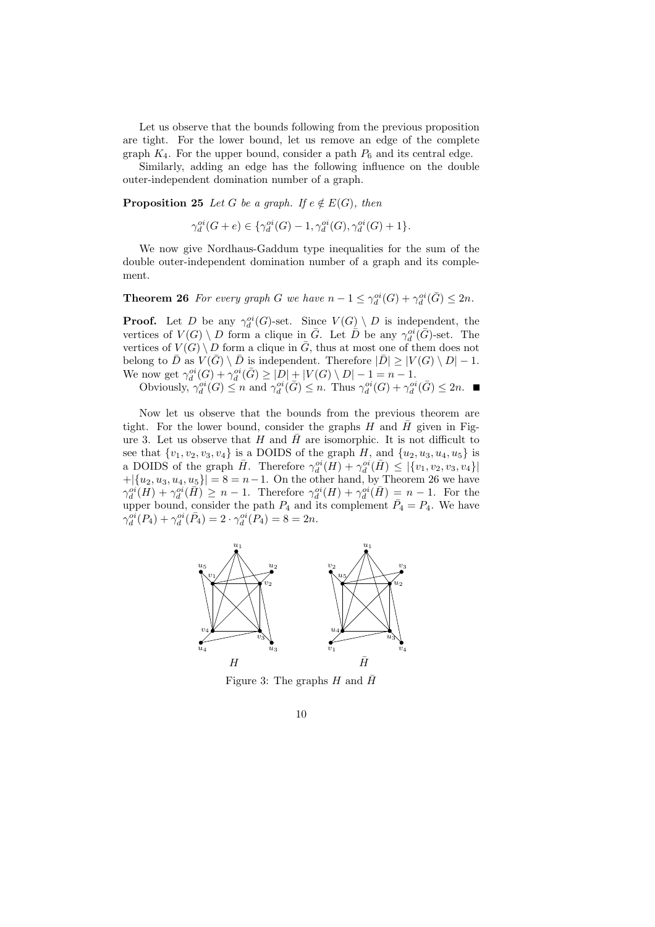Let us observe that the bounds following from the previous proposition are tight. For the lower bound, let us remove an edge of the complete graph  $K_4$ . For the upper bound, consider a path  $P_6$  and its central edge.

Similarly, adding an edge has the following influence on the double outer-independent domination number of a graph.

**Proposition 25** *Let* G *be a graph.* If  $e \notin E(G)$ *, then* 

 $\gamma_d^{oi}(G+e) \in \{ \gamma_d^{oi}(G) - 1, \gamma_d^{oi}(G), \gamma_d^{oi}(G) + 1 \}.$ 

We now give Nordhaus-Gaddum type inequalities for the sum of the double outer-independent domination number of a graph and its complement.

**Theorem 26** For every graph G we have  $n-1 \leq \gamma_d^{oi}(G) + \gamma_d^{oi}(\bar{G}) \leq 2n$ .

**Proof.** Let D be any  $\gamma_d^{oi}(G)$ -set. Since  $V(G) \setminus D$  is independent, the vertices of  $V(G) \setminus D$  form a clique in  $\overline{G}$ . Let  $\overline{D}$  be any  $\gamma_d^{oi}(\overline{G})$ -set. The vertices of  $V(G) \setminus D$  form a clique in  $\overline{G}$ , thus at most one of them does not belong to D as  $V(\overline{G}) \setminus D$  is independent. Therefore  $|\overline{D}| \geq |V(G) \setminus D| - 1$ . We now get  $\gamma_d^{oi}(G) + \gamma_d^{oi}(\bar{G}) \geq |D| + |V(G) \setminus D| - 1 = n - 1.$ 

Obviously,  $\gamma_d^{oi}(G) \le n$  and  $\gamma_d^{oi}(\bar{G}) \le n$ . Thus  $\gamma_d^{oi}(G) + \gamma_d^{oi}(\bar{G}) \le 2n$ .

Now let us observe that the bounds from the previous theorem are tight. For the lower bound, consider the graphs  $H$  and  $\bar{H}$  given in Figure 3. Let us observe that H and  $\bar{H}$  are isomorphic. It is not difficult to see that  $\{v_1, v_2, v_3, v_4\}$  is a DOIDS of the graph H, and  $\{u_2, u_3, u_4, u_5\}$  is a DOIDS of the graph  $\bar{H}$ . Therefore  $\gamma_d^{oi}(H) + \gamma_d^{oi}(\bar{H}) \leq |\{v_1, v_2, v_3, v_4\}|$  $+|\{u_2, u_3, u_4, u_5\}| = 8 = n-1$ . On the other hand, by Theorem 26 we have  $\gamma_d^{oi}(H) + \gamma_d^{oi}(\bar{H}) \geq n-1$ . Therefore  $\gamma_d^{oi}(H) + \gamma_d^{oi}(\bar{H}) = n-1$ . For the upper bound, consider the path  $P_4$  and its complement  $\overline{P}_4 = P_4$ . We have  $\gamma_d^{oi}(P_4) + \gamma_d^{oi}(\bar{P}_4) = 2 \cdot \gamma_d^{oi}(P_4) = 8 = 2n.$ 



Figure 3: The graphs H and  $\bar{H}$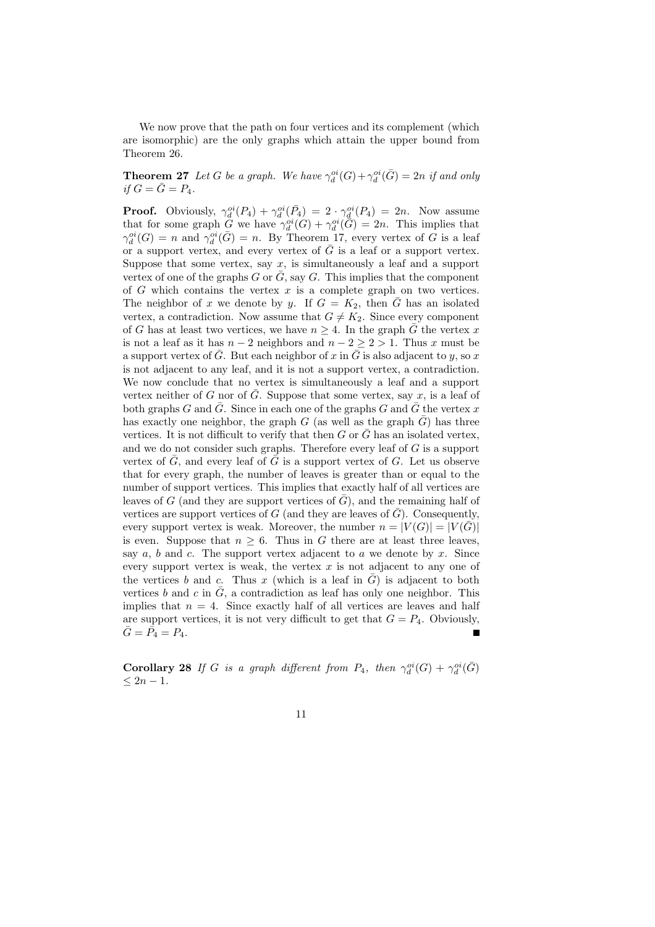We now prove that the path on four vertices and its complement (which are isomorphic) are the only graphs which attain the upper bound from Theorem 26.

**Theorem 27** *Let* G *be a graph.* We have  $\gamma_d^{oi}(G) + \gamma_d^{oi}(\bar{G}) = 2n$  *if and only if*  $G = \overline{G} = P_4$ .

**Proof.** Obviously,  $\gamma_d^{oi}(P_4) + \gamma_d^{oi}(\overline{P_4}) = 2 \cdot \gamma_d^{oi}(P_4) = 2n$ . Now assume that for some graph  $\tilde{G}$  we have  $\gamma_d^{oi}(G) + \gamma_d^{oi}(\tilde{G}) = 2n$ . This implies that  $\gamma_d^{oi}(G) = n$  and  $\gamma_d^{oi}(\bar{G}) = n$ . By Theorem 17, every vertex of G is a leaf or a support vertex, and every vertex of  $\overline{G}$  is a leaf or a support vertex. Suppose that some vertex, say  $x$ , is simultaneously a leaf and a support vertex of one of the graphs G or  $\overline{G}$ , say G. This implies that the component of  $G$  which contains the vertex  $x$  is a complete graph on two vertices. The neighbor of x we denote by y. If  $G = K_2$ , then G has an isolated vertex, a contradiction. Now assume that  $G \neq K_2$ . Since every component of G has at least two vertices, we have  $n \geq 4$ . In the graph  $\overline{G}$  the vertex x is not a leaf as it has  $n-2$  neighbors and  $n-2 \geq 2 > 1$ . Thus x must be a support vertex of  $\overline{G}$ . But each neighbor of x in  $\overline{G}$  is also adjacent to y, so x is not adjacent to any leaf, and it is not a support vertex, a contradiction. We now conclude that no vertex is simultaneously a leaf and a support vertex neither of G nor of  $\overline{G}$ . Suppose that some vertex, say x, is a leaf of both graphs G and  $\bar{G}$ . Since in each one of the graphs G and  $\bar{G}$  the vertex x has exactly one neighbor, the graph  $G$  (as well as the graph  $G$ ) has three vertices. It is not difficult to verify that then  $G$  or  $\overline{G}$  has an isolated vertex, and we do not consider such graphs. Therefore every leaf of G is a support vertex of  $\overline{G}$ , and every leaf of  $\overline{G}$  is a support vertex of G. Let us observe that for every graph, the number of leaves is greater than or equal to the number of support vertices. This implies that exactly half of all vertices are leaves of G (and they are support vertices of  $\overline{G}$ ), and the remaining half of vertices are support vertices of G (and they are leaves of  $\overline{G}$ ). Consequently, every support vertex is weak. Moreover, the number  $n = |V(G)| = |V(\bar{G})|$ is even. Suppose that  $n \geq 6$ . Thus in G there are at least three leaves, say  $a, b$  and  $c$ . The support vertex adjacent to  $a$  we denote by  $x$ . Since every support vertex is weak, the vertex  $x$  is not adjacent to any one of the vertices b and c. Thus x (which is a leaf in  $\overline{G}$ ) is adjacent to both vertices b and c in  $\overline{G}$ , a contradiction as leaf has only one neighbor. This implies that  $n = 4$ . Since exactly half of all vertices are leaves and half are support vertices, it is not very difficult to get that  $G = P_4$ . Obviously,  $\bar{G} = \bar{P}_4 = P_4.$ 

**Corollary 28** *If* G *is a graph different from*  $P_4$ *, then*  $\gamma_d^{oi}(G) + \gamma_d^{oi}(\bar{G})$  $< 2n - 1$ .

$$
11\quad
$$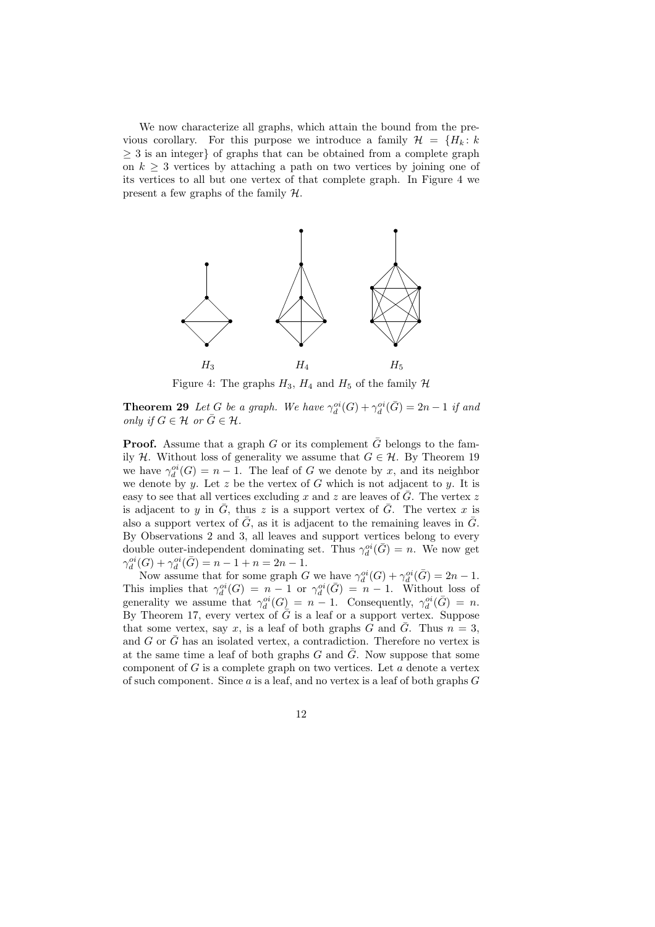We now characterize all graphs, which attain the bound from the previous corollary. For this purpose we introduce a family  $\mathcal{H} = \{H_k : k\}$ ≥ 3 is an integer} of graphs that can be obtained from a complete graph on  $k > 3$  vertices by attaching a path on two vertices by joining one of its vertices to all but one vertex of that complete graph. In Figure 4 we present a few graphs of the family H.



Figure 4: The graphs  $H_3$ ,  $H_4$  and  $H_5$  of the family  $H$ 

**Theorem 29** *Let*  $G$  *be a graph. We have*  $\gamma_d^{oi}(G) + \gamma_d^{oi}(\bar{G}) = 2n - 1$  *if and only if*  $G \in \mathcal{H}$  *or*  $\overline{G} \in \mathcal{H}$ *.* 

**Proof.** Assume that a graph G or its complement  $\overline{G}$  belongs to the family H. Without loss of generality we assume that  $G \in \mathcal{H}$ . By Theorem 19 we have  $\gamma_d^{oi}(G) = n - 1$ . The leaf of G we denote by x, and its neighbor we denote by y. Let z be the vertex of G which is not adjacent to y. It is easy to see that all vertices excluding x and z are leaves of  $\overline{G}$ . The vertex z is adjacent to y in  $\overline{G}$ , thus z is a support vertex of  $\overline{G}$ . The vertex x is also a support vertex of  $\overline{G}$ , as it is adjacent to the remaining leaves in  $\overline{G}$ . By Observations 2 and 3, all leaves and support vertices belong to every double outer-independent dominating set. Thus  $\gamma_d^{oi}(\bar{G}) = n$ . We now get  $\gamma_d^{oi}(G) + \gamma_d^{oi}(\bar{G}) = n - 1 + n = 2n - 1.$ 

Now assume that for some graph G we have  $\gamma_d^{oi}(G) + \gamma_d^{oi}(\bar{G}) = 2n - 1$ . This implies that  $\gamma_d^{oi}(G) = n - 1$  or  $\gamma_d^{oi}(\bar{G}) = n - 1$ . Without loss of generality we assume that  $\gamma_d^{oi}(G) = n - 1$ . Consequently,  $\gamma_d^{oi}(\bar{G}) = n$ . By Theorem 17, every vertex of  $\overline{G}$  is a leaf or a support vertex. Suppose that some vertex, say x, is a leaf of both graphs G and  $\overline{G}$ . Thus  $n = 3$ , and  $G$  or  $\overline{G}$  has an isolated vertex, a contradiction. Therefore no vertex is at the same time a leaf of both graphs G and  $\overline{G}$ . Now suppose that some component of  $G$  is a complete graph on two vertices. Let  $a$  denote a vertex of such component. Since  $a$  is a leaf, and no vertex is a leaf of both graphs  $G$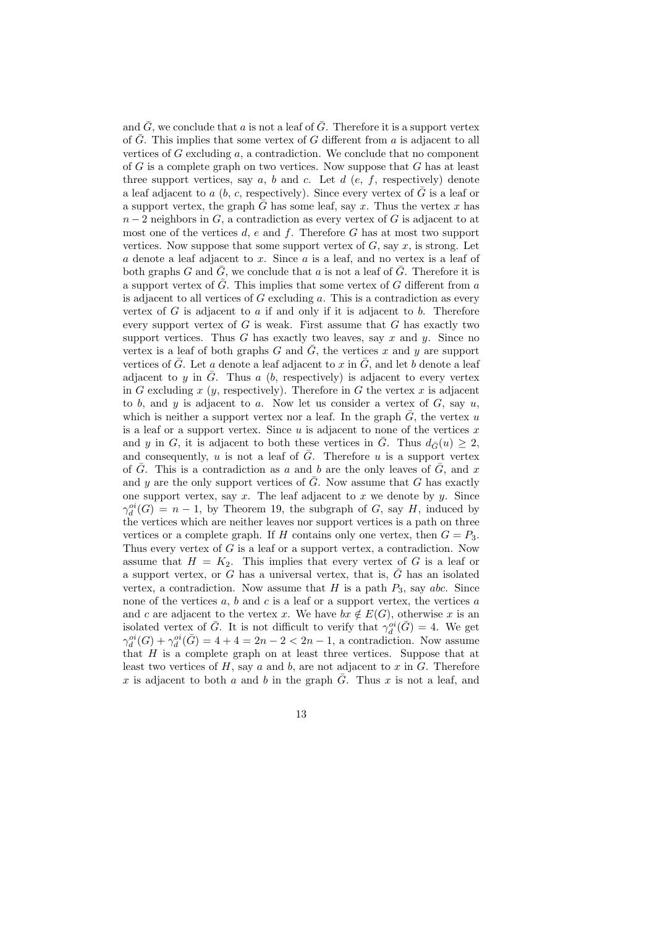and  $\overline{G}$ , we conclude that a is not a leaf of  $\overline{G}$ . Therefore it is a support vertex of  $\overline{G}$ . This implies that some vertex of G different from a is adjacent to all vertices of  $G$  excluding  $a$ , a contradiction. We conclude that no component of  $G$  is a complete graph on two vertices. Now suppose that  $G$  has at least three support vertices, say  $a, b$  and  $c$ . Let  $d$  (e, f, respectively) denote a leaf adjacent to a  $(b, c,$  respectively). Since every vertex of  $\overline{G}$  is a leaf or a support vertex, the graph G has some leaf, say x. Thus the vertex x has  $n-2$  neighbors in G, a contradiction as every vertex of G is adjacent to at most one of the vertices  $d$ ,  $e$  and  $f$ . Therefore  $G$  has at most two support vertices. Now suppose that some support vertex of  $G$ , say  $x$ , is strong. Let  $a$  denote a leaf adjacent to  $x$ . Since  $a$  is a leaf, and no vertex is a leaf of both graphs G and  $\bar{G}$ , we conclude that a is not a leaf of  $\bar{G}$ . Therefore it is a support vertex of  $\overline{G}$ . This implies that some vertex of G different from a is adjacent to all vertices of  $G$  excluding  $a$ . This is a contradiction as every vertex of  $G$  is adjacent to  $a$  if and only if it is adjacent to  $b$ . Therefore every support vertex of  $G$  is weak. First assume that  $G$  has exactly two support vertices. Thus  $G$  has exactly two leaves, say  $x$  and  $y$ . Since no vertex is a leaf of both graphs G and  $\overline{G}$ , the vertices x and y are support vertices of G. Let a denote a leaf adjacent to x in  $\tilde{G}$ , and let b denote a leaf adjacent to y in  $\overline{G}$ . Thus a (b, respectively) is adjacent to every vertex in G excluding  $x$  ( $y$ , respectively). Therefore in G the vertex  $x$  is adjacent to b, and y is adjacent to a. Now let us consider a vertex of  $G$ , say  $u$ , which is neither a support vertex nor a leaf. In the graph  $\bar{G}$ , the vertex u is a leaf or a support vertex. Since  $u$  is adjacent to none of the vertices  $x$ and y in G, it is adjacent to both these vertices in  $\overline{G}$ . Thus  $d_{\overline{G}}(u) \geq 2$ , and consequently, u is not a leaf of  $\overline{G}$ . Therefore u is a support vertex of  $\overline{G}$ . This is a contradiction as a and b are the only leaves of  $\overline{G}$ , and x and y are the only support vertices of  $\overline{G}$ . Now assume that  $G$  has exactly one support vertex, say  $x$ . The leaf adjacent to  $x$  we denote by  $y$ . Since  $\gamma_d^{oi}(G) = n-1$ , by Theorem 19, the subgraph of G, say H, induced by the vertices which are neither leaves nor support vertices is a path on three vertices or a complete graph. If H contains only one vertex, then  $G = P_3$ . Thus every vertex of  $G$  is a leaf or a support vertex, a contradiction. Now assume that  $H = K_2$ . This implies that every vertex of G is a leaf or a support vertex, or G has a universal vertex, that is,  $\overline{G}$  has an isolated vertex, a contradiction. Now assume that  $H$  is a path  $P_3$ , say abc. Since none of the vertices  $a, b$  and  $c$  is a leaf or a support vertex, the vertices  $a$ and c are adjacent to the vertex x. We have  $bx \notin E(G)$ , otherwise x is an isolated vertex of  $\bar{G}$ . It is not difficult to verify that  $\gamma_d^{oi}(\bar{G}) = 4$ . We get  $\gamma_d^{oi}(G) + \gamma_d^{oi}(\bar{G}) = 4 + 4 = 2n - 2 < 2n - 1$ , a contradiction. Now assume that  $H$  is a complete graph on at least three vertices. Suppose that at least two vertices of  $H$ , say  $a$  and  $b$ , are not adjacent to  $x$  in  $G$ . Therefore x is adjacent to both a and b in the graph  $\overline{G}$ . Thus x is not a leaf, and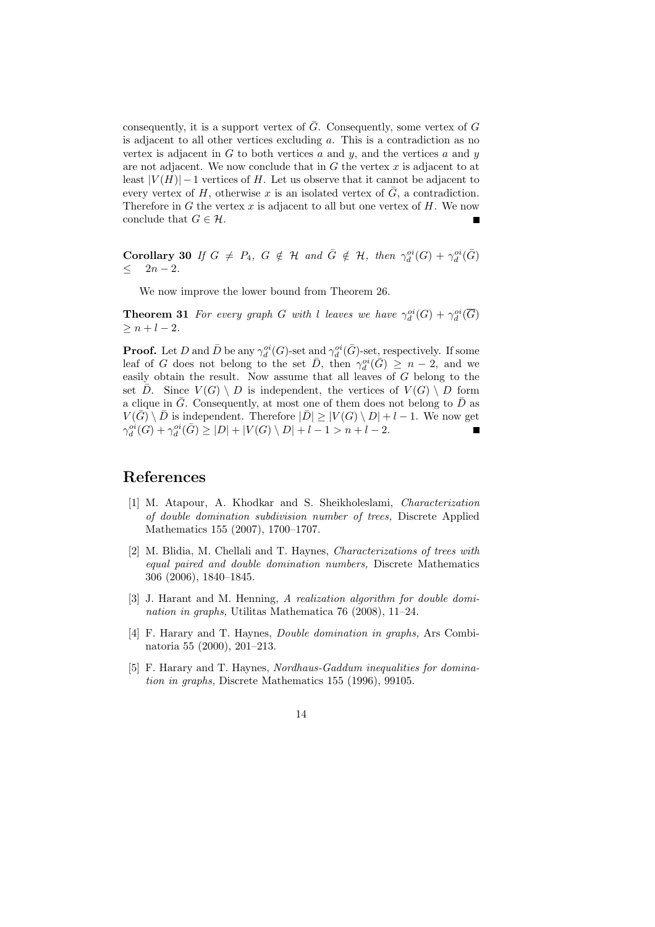consequently, it is a support vertex of  $\overline{G}$ . Consequently, some vertex of G is adjacent to all other vertices excluding a. This is a contradiction as no vertex is adjacent in  $G$  to both vertices  $a$  and  $y$ , and the vertices  $a$  and  $y$ are not adjacent. We now conclude that in  $G$  the vertex  $x$  is adjacent to at least  $|V(H)| - 1$  vertices of H. Let us observe that it cannot be adjacent to every vertex of H, otherwise x is an isolated vertex of  $\overline{G}$ , a contradiction. Therefore in  $G$  the vertex  $x$  is adjacent to all but one vertex of  $H$ . We now conclude that  $G \in \mathcal{H}$ .

**Corollary 30** *If*  $G \neq P_4$ ,  $G \notin H$  *and*  $\overline{G} \notin H$ , *then*  $\gamma_d^{oi}(G) + \gamma_d^{oi}(\overline{G})$ ≤ 2n − 2*.*

We now improve the lower bound from Theorem 26.

**Theorem 31** *For every graph* G with l leaves we have  $\gamma_d^{oi}(G) + \gamma_d^{oi}(\overline{G})$  $> n + l - 2.$ 

**Proof.** Let D and  $\bar{D}$  be any  $\gamma_d^{oi}(G)$ -set and  $\gamma_d^{oi}(\bar{G})$ -set, respectively. If some leaf of G does not belong to the set  $\overline{D}$ , then  $\gamma_d^{oi}(\overline{G}) \geq n-2$ , and we easily obtain the result. Now assume that all leaves of G belong to the set  $\overline{D}$ . Since  $V(G) \setminus D$  is independent, the vertices of  $V(G) \setminus D$  form a clique in  $\overline{G}$ . Consequently, at most one of them does not belong to  $\overline{D}$  as  $V(\overline{G}) \setminus \overline{D}$  is independent. Therefore  $|\overline{D}| \geq |V(G) \setminus D| + l - 1$ . We now get  $\gamma_d^{oi}(G) + \gamma_d^{oi}(\bar{G}) \ge |D| + |V(G) \setminus D| + l - 1 > n + l - 2.$ 

#### **References**

- [1] M. Atapour, A. Khodkar and S. Sheikholeslami, *Characterization of double domination subdivision number of trees,* Discrete Applied Mathematics 155 (2007), 1700–1707.
- [2] M. Blidia, M. Chellali and T. Haynes, *Characterizations of trees with equal paired and double domination numbers,* Discrete Mathematics 306 (2006), 1840–1845.
- [3] J. Harant and M. Henning, *A realization algorithm for double domination in graphs,* Utilitas Mathematica 76 (2008), 11–24.
- [4] F. Harary and T. Haynes, *Double domination in graphs,* Ars Combinatoria 55 (2000), 201–213.
- [5] F. Harary and T. Haynes, *Nordhaus-Gaddum inequalities for domination in graphs,* Discrete Mathematics 155 (1996), 99105.